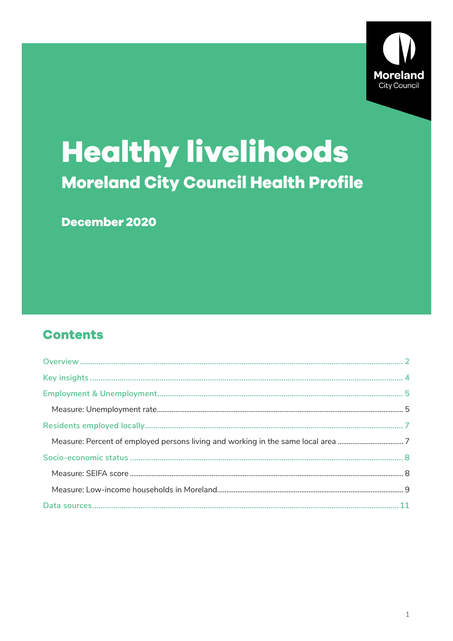

# **Healthy livelihoods Moreland City Council Health Profile**

# December 2020

# **Contents**

| Measure: Percent of employed persons living and working in the same local area 7 |  |
|----------------------------------------------------------------------------------|--|
|                                                                                  |  |
|                                                                                  |  |
|                                                                                  |  |
|                                                                                  |  |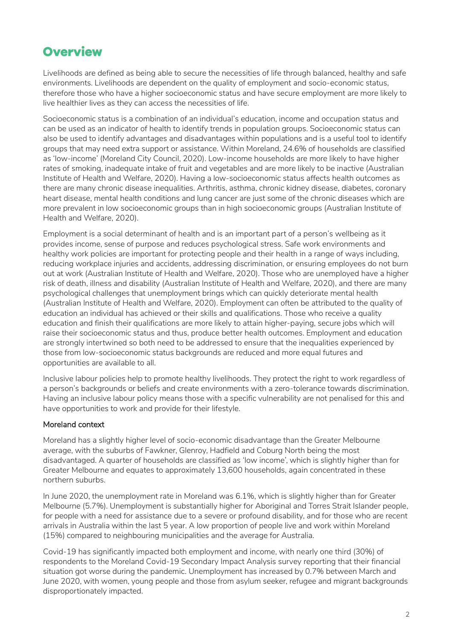# <span id="page-1-0"></span>**Overview**

Livelihoods are defined as being able to secure the necessities of life through balanced, healthy and safe environments. Livelihoods are dependent on the quality of employment and socio-economic status, therefore those who have a higher socioeconomic status and have secure employment are more likely to live healthier lives as they can access the necessities of life.

Socioeconomic status is a combination of an individual's education, income and occupation status and can be used as an indicator of health to identify trends in population groups. Socioeconomic status can also be used to identify advantages and disadvantages within populations and is a useful tool to identify groups that may need extra support or assistance. Within Moreland, 24.6% of households are classified as 'low-income' (Moreland City Council, 2020). Low-income households are more likely to have higher rates of smoking, inadequate intake of fruit and vegetables and are more likely to be inactive (Australian Institute of Health and Welfare, 2020). Having a low-socioeconomic status affects health outcomes as there are many chronic disease inequalities. Arthritis, asthma, chronic kidney disease, diabetes, coronary heart disease, mental health conditions and lung cancer are just some of the chronic diseases which are more prevalent in low socioeconomic groups than in high socioeconomic groups (Australian Institute of Health and Welfare, 2020).

Employment is a social determinant of health and is an important part of a person's wellbeing as it provides income, sense of purpose and reduces psychological stress. Safe work environments and healthy work policies are important for protecting people and their health in a range of ways including, reducing workplace injuries and accidents, addressing discrimination, or ensuring employees do not burn out at work (Australian Institute of Health and Welfare, 2020). Those who are unemployed have a higher risk of death, illness and disability (Australian Institute of Health and Welfare, 2020), and there are many psychological challenges that unemployment brings which can quickly deteriorate mental health (Australian Institute of Health and Welfare, 2020). Employment can often be attributed to the quality of education an individual has achieved or their skills and qualifications. Those who receive a quality education and finish their qualifications are more likely to attain higher-paying, secure jobs which will raise their socioeconomic status and thus, produce better health outcomes. Employment and education are strongly intertwined so both need to be addressed to ensure that the inequalities experienced by those from low-socioeconomic status backgrounds are reduced and more equal futures and opportunities are available to all.

Inclusive labour policies help to promote healthy livelihoods. They protect the right to work regardless of a person's backgrounds or beliefs and create environments with a zero-tolerance towards discrimination. Having an inclusive labour policy means those with a specific vulnerability are not penalised for this and have opportunities to work and provide for their lifestyle.

### Moreland context

Moreland has a slightly higher level of socio-economic disadvantage than the Greater Melbourne average, with the suburbs of Fawkner, Glenroy, Hadfield and Coburg North being the most disadvantaged. A quarter of households are classified as 'low income', which is slightly higher than for Greater Melbourne and equates to approximately 13,600 households, again concentrated in these northern suburbs.

In June 2020, the unemployment rate in Moreland was 6.1%, which is slightly higher than for Greater Melbourne (5.7%). Unemployment is substantially higher for Aboriginal and Torres Strait Islander people, for people with a need for assistance due to a severe or profound disability, and for those who are recent arrivals in Australia within the last 5 year. A low proportion of people live and work within Moreland (15%) compared to neighbouring municipalities and the average for Australia.

Covid-19 has significantly impacted both employment and income, with nearly one third (30%) of respondents to the Moreland Covid-19 Secondary Impact Analysis survey reporting that their financial situation got worse during the pandemic. Unemployment has increased by 0.7% between March and June 2020, with women, young people and those from asylum seeker, refugee and migrant backgrounds disproportionately impacted.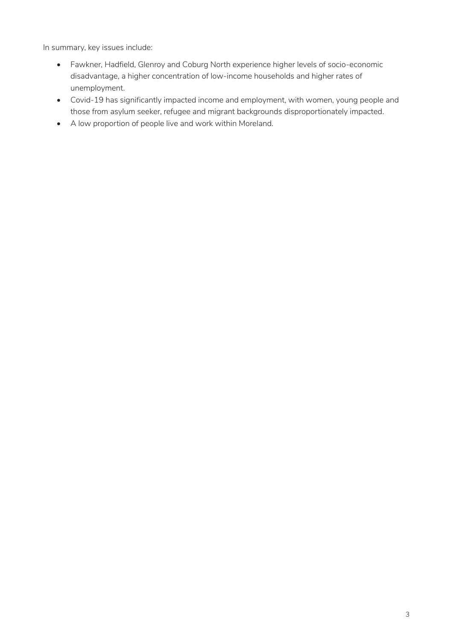In summary, key issues include:

- Fawkner, Hadfield, Glenroy and Coburg North experience higher levels of socio-economic disadvantage, a higher concentration of low-income households and higher rates of unemployment.
- Covid-19 has significantly impacted income and employment, with women, young people and those from asylum seeker, refugee and migrant backgrounds disproportionately impacted.
- A low proportion of people live and work within Moreland.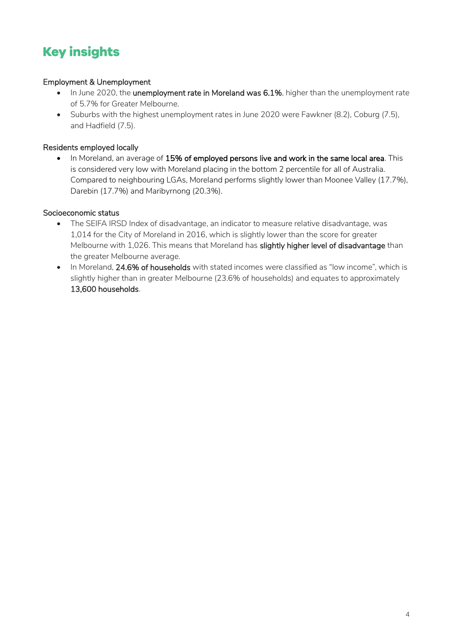# <span id="page-3-0"></span>**Key insights**

# Employment & Unemployment

- In June 2020, the unemployment rate in Moreland was 6.1%, higher than the unemployment rate of 5.7% for Greater Melbourne.
- Suburbs with the highest unemployment rates in June 2020 were Fawkner (8.2), Coburg (7.5), and Hadfield (7.5).

# Residents employed locally

• In Moreland, an average of 15% of employed persons live and work in the same local area. This is considered very low with Moreland placing in the bottom 2 percentile for all of Australia. Compared to neighbouring LGAs, Moreland performs slightly lower than Moonee Valley (17.7%), Darebin (17.7%) and Maribyrnong (20.3%).

# Socioeconomic status

- The SEIFA IRSD Index of disadvantage, an indicator to measure relative disadvantage, was 1,014 for the City of Moreland in 2016, which is slightly lower than the score for greater Melbourne with 1,026. This means that Moreland has slightly higher level of disadvantage than the greater Melbourne average.
- In Moreland, 24.6% of households with stated incomes were classified as "low income", which is slightly higher than in greater Melbourne (23.6% of households) and equates to approximately 13,600 households.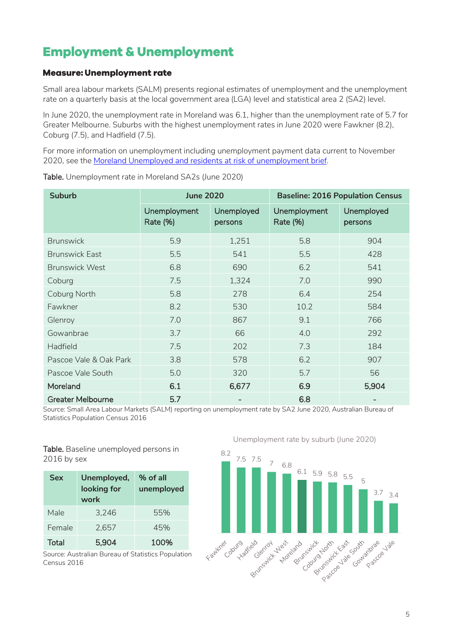# <span id="page-4-0"></span>**Employment & Unemployment**

# <span id="page-4-1"></span>**Measure: Unemployment rate**

Small area labour markets (SALM) presents regional estimates of unemployment and the unemployment rate on a quarterly basis at the local government area (LGA) level and statistical area 2 (SA2) level.

In June 2020, the unemployment rate in Moreland was 6.1, higher than the unemployment rate of 5.7 for Greater Melbourne. Suburbs with the highest unemployment rates in June 2020 were Fawkner (8.2), Coburg (7.5), and Hadfield (7.5).

For more information on unemployment including unemployment payment data current to November 2020, see the [Moreland Unemployed and residents at risk of unemployment brief.](https://grapevine.moreland.vic.gov.au/globalassets/grapevine/areas/research/vulnerable-population-brief---resident-employment-profile-final.pdf)

| <b>Suburb</b>            | <b>June 2020</b>                |                       | <b>Baseline: 2016 Population Census</b> |                       |
|--------------------------|---------------------------------|-----------------------|-----------------------------------------|-----------------------|
|                          | Unemployment<br><b>Rate (%)</b> | Unemployed<br>persons | Unemployment<br><b>Rate (%)</b>         | Unemployed<br>persons |
| <b>Brunswick</b>         | 5.9                             | 1,251                 | 5.8                                     | 904                   |
| <b>Brunswick East</b>    | 5.5                             | 541                   | 5.5                                     | 428                   |
| <b>Brunswick West</b>    | 6.8                             | 690                   | 6.2                                     | 541                   |
| Coburg                   | 7.5                             | 1,324                 | 7.0                                     | 990                   |
| Coburg North             | 5.8                             | 278                   | 6.4                                     | 254                   |
| Fawkner                  | 8.2                             | 530                   | 10.2                                    | 584                   |
| Glenroy                  | 7.0                             | 867                   | 9.1                                     | 766                   |
| Gowanbrae                | 3.7                             | 66                    | 4.0                                     | 292                   |
| Hadfield                 | 7.5                             | 202                   | 7.3                                     | 184                   |
| Pascoe Vale & Oak Park   | 3.8                             | 578                   | 6.2                                     | 907                   |
| Pascoe Vale South        | 5.0                             | 320                   | 5.7                                     | 56                    |
| Moreland                 | 6.1                             | 6,677                 | 6.9                                     | 5,904                 |
| <b>Greater Melbourne</b> | 5.7                             |                       | 6.8                                     |                       |

Table. Unemployment rate in Moreland SA2s (June 2020)

Source: Small Area Labour Markets (SALM) reporting on unemployment rate by SA2 June 2020, Australian Bureau of Statistics Population Census 2016

Table. Baseline unemployed persons in 2016 by sex

| <b>Sex</b> | Unemployed,<br>looking for<br>work | % of all<br>unemployed |
|------------|------------------------------------|------------------------|
| Male       | 3.246                              | 55%                    |
| Female     | 2.657                              | 45%                    |
| Total      | 5.904                              | 100%                   |

Source: Australian Bureau of Statistics Population Census 2016

Unemployment rate by suburb (June 2020)

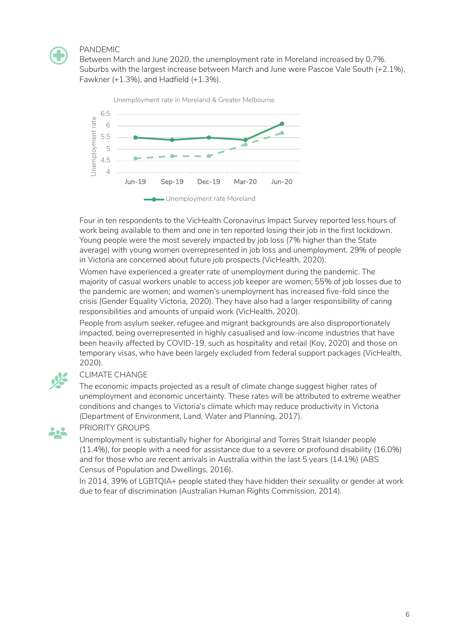

### PANDEMIC

Between March and June 2020, the unemployment rate in Moreland increased by 0.7%. Suburbs with the largest increase between March and June were Pascoe Vale South (+2.1%), Fawkner (+1.3%), and Hadfield (+1.3%).



Four in ten respondents to the VicHealth Coronavirus Impact Survey reported less hours of work being available to them and one in ten reported losing their job in the first lockdown. Young people were the most severely impacted by job loss (7% higher than the State average) with young women overrepresented in job loss and unemployment. 29% of people in Victoria are concerned about future job prospects (VicHealth, 2020).

Women have experienced a greater rate of unemployment during the pandemic. The majority of casual workers unable to access job keeper are women; 55% of job losses due to the pandemic are women; and women's unemployment has increased five-fold since the crisis (Gender Equality Victoria, 2020). They have also had a larger responsibility of caring responsibilities and amounts of unpaid work (VicHealth, 2020).

People from asylum seeker, refugee and migrant backgrounds are also disproportionately impacted, being overrepresented in highly casualised and low-income industries that have been heavily affected by COVID-19, such as hospitality and retail (Koy, 2020) and those on temporary visas, who have been largely excluded from federal support packages (VicHealth, 2020).



# CLIMATE CHANGE

The economic impacts projected as a result of climate change suggest higher rates of unemployment and economic uncertainty. These rates will be attributed to extreme weather conditions and changes to Victoria's climate which may reduce productivity in Victoria (Department of Environment, Land, Water and Planning, 2017).



### PRIORITY GROUPS

Unemployment is substantially higher for Aboriginal and Torres Strait Islander people (11.4%), for people with a need for assistance due to a severe or profound disability (16.0%) and for those who are recent arrivals in Australia within the last 5 years (14.1%) (ABS Census of Population and Dwellings, 2016).

In 2014, 39% of LGBTQIA+ people stated they have hidden their sexuality or gender at work due to fear of discrimination (Australian Human Rights Commission, 2014).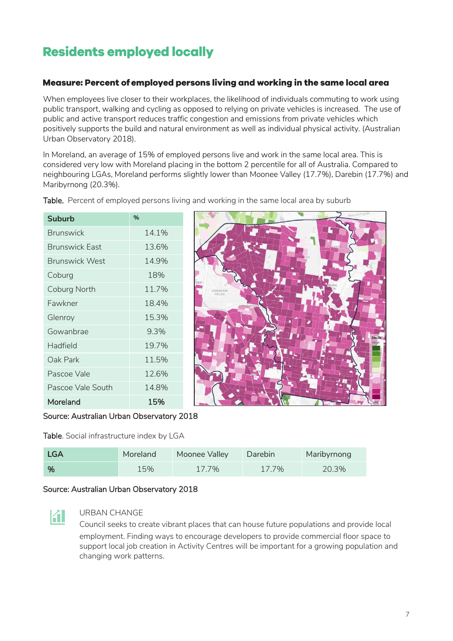# <span id="page-6-0"></span>**Residents employed locally**

# <span id="page-6-1"></span>Measure: Percent of employed persons living and working in the same local area

When employees live closer to their workplaces, the likelihood of individuals commuting to work using public transport, walking and cycling as opposed to relying on private vehicles is increased. The use of public and active transport reduces traffic congestion and emissions from private vehicles which positively supports the build and natural environment as well as individual physical activity. (Australian Urban Observatory 2018).

In Moreland, an average of 15% of employed persons live and work in the same local area. This is considered very low with Moreland placing in the bottom 2 percentile for all of Australia. Compared to neighbouring LGAs, Moreland performs slightly lower than Moonee Valley (17.7%), Darebin (17.7%) and Maribyrnong (20.3%).

| <b>Suburb</b>         | %     |
|-----------------------|-------|
| <b>Brunswick</b>      | 14.1% |
| <b>Brunswick Fast</b> | 13.6% |
| <b>Brunswick West</b> | 14.9% |
| Coburg                | 18%   |
| Coburg North          | 11.7% |
| Fawkner               | 18.4% |
| Glenroy               | 15.3% |
| Gowanbrae             | 9.3%  |
| Hadfield              | 19.7% |
| Oak Park              | 11.5% |
| Pascoe Vale           | 12.6% |
| Pascoe Vale South     | 14.8% |
| Moreland              | 15%   |
|                       |       |

Table. Percent of employed persons living and working in the same local area by suburb



Source: Australian Urban Observatory 2018

Table. Social infrastructure index by LGA

| <b>LGA</b> | Moreland | Moonee Valley | Darebin | Maribyrnong |
|------------|----------|---------------|---------|-------------|
| $\%$       | 15%      | 17.7%         | 17.7%   | 20.3%       |

# Source: Australian Urban Observatory 2018

# 团

# URBAN CHANGE

Council seeks to create vibrant places that can house future populations and provide local employment. Finding ways to encourage developers to provide commercial floor space to support local job creation in Activity Centres will be important for a growing population and changing work patterns.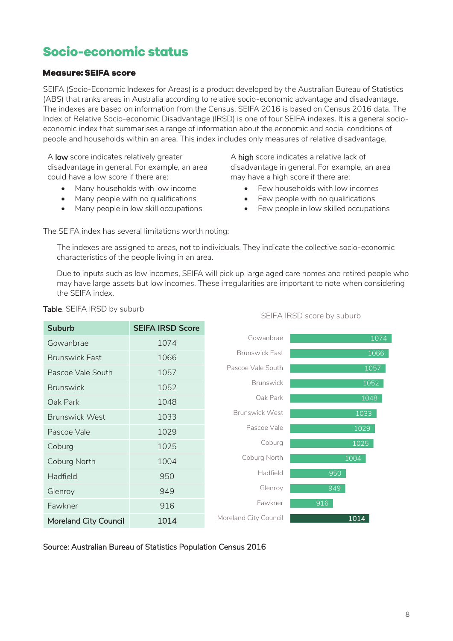# <span id="page-7-0"></span>Socio-economic status

# <span id="page-7-1"></span>**Measure: SEIFA score**

SEIFA (Socio-Economic Indexes for Areas) is a product developed by the Australian Bureau of Statistics (ABS) that ranks areas in Australia according to relative socio-economic advantage and disadvantage. The indexes are based on information from the Census. SEIFA 2016 is based on Census 2016 data. The Index of Relative Socio-economic Disadvantage (IRSD) is one of four SEIFA indexes. It is a general socioeconomic index that summarises a range of information about the economic and social conditions of people and households within an area. This index includes only measures of relative disadvantage.

A low score indicates relatively greater disadvantage in general. For example, an area could have a low score if there are:

- Many households with low income
- Many people with no qualifications
- Many people in low skill occupations

A high score indicates a relative lack of disadvantage in general. For example, an area may have a high score if there are:

- Few households with low incomes
- Few people with no qualifications
- Few people in low skilled occupations

The SEIFA index has several limitations worth noting:

The indexes are assigned to areas, not to individuals. They indicate the collective socio-economic characteristics of the people living in an area.

Due to inputs such as low incomes, SEIFA will pick up large aged care homes and retired people who may have large assets but low incomes. These irregularities are important to note when considering the SEIFA index.



### Table. SEIFA IRSD by suburb

### SEIFA IRSD score by suburb

Source: Australian Bureau of Statistics Population Census 2016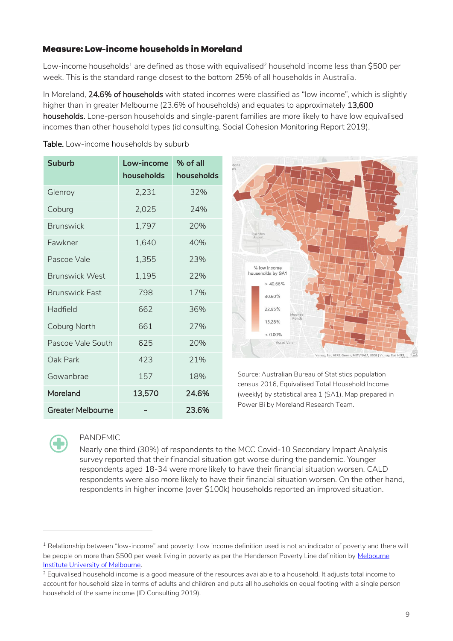# <span id="page-8-0"></span>Measure: Low-income households in Moreland

Table. Low-income households by suburb

Low-income households<sup>1</sup> are defined as those with equivalised<sup>2</sup> household income less than \$500 per week. This is the standard range closest to the bottom 25% of all households in Australia.

In Moreland, 24.6% of households with stated incomes were classified as "low income", which is slightly higher than in greater Melbourne (23.6% of households) and equates to approximately 13,600 households. Lone-person households and single-parent families are more likely to have low equivalised incomes than other household types (id consulting, Social Cohesion Monitoring Report 2019).

| <b>Suburb</b>            | Low-income<br>households | % of all<br>households |
|--------------------------|--------------------------|------------------------|
| Glenroy                  | 2,231                    | 32%                    |
| Coburg                   | 2,025                    | 24%                    |
| <b>Brunswick</b>         | 1,797                    | 20%                    |
| Fawkner                  | 1,640                    | 40%                    |
| Pascoe Vale              | 1,355                    | 23%                    |
| <b>Brunswick West</b>    | 1,195                    | 77%                    |
| <b>Brunswick East</b>    | 798                      | 17%                    |
| Hadfield                 | 662                      | 36%                    |
| Coburg North             | 661                      | 27%                    |
| Pascoe Vale South        | 625                      | 20%                    |
| Oak Park                 | 423                      | 21%                    |
| Gowanbrae                | 157                      | 18%                    |
| Moreland                 | 13,570                   | 24.6%                  |
| <b>Greater Melbourne</b> |                          | 23.6%                  |



Source: Australian Bureau of Statistics population census 2016, Equivalised Total Household Income (weekly) by statistical area 1 (SA1). Map prepared in Power Bi by Moreland Research Team.



-

# PANDEMIC

Nearly one third (30%) of respondents to the MCC Covid-10 Secondary Impact Analysis survey reported that their financial situation got worse during the pandemic. Younger respondents aged 18-34 were more likely to have their financial situation worsen. CALD respondents were also more likely to have their financial situation worsen. On the other hand, respondents in higher income (over \$100k) households reported an improved situation.

<sup>&</sup>lt;sup>1</sup> Relationship between "low-income" and poverty: Low income definition used is not an indicator of poverty and there will be people on more than \$500 per week living in poverty as per the Henderson Poverty Line definition by Melbourne [Institute University of Melbourne.](https://melbourneinstitute.unimelb.edu.au/publications/poverty-lines)

<sup>&</sup>lt;sup>2</sup> Equivalised household income is a good measure of the resources available to a household. It adjusts total income to account for household size in terms of adults and children and puts all households on equal footing with a single person household of the same income (ID Consulting 2019).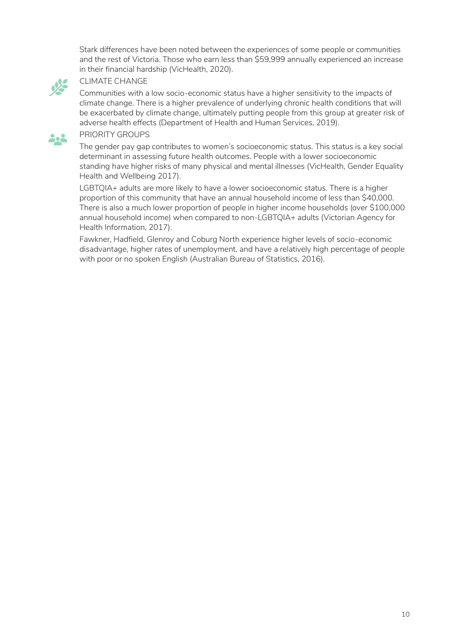Stark differences have been noted between the experiences of some people or communities and the rest of Victoria. Those who earn less than \$59,999 annually experienced an increase in their financial hardship (VicHealth, 2020).



#### CLIMATE CHANGE

Communities with a low socio-economic status have a higher sensitivity to the impacts of climate change. There is a higher prevalence of underlying chronic health conditions that will be exacerbated by climate change, ultimately putting people from this group at greater risk of adverse health effects (Department of Health and Human Services, 2019).

### PRIORITY GROUPS

The gender pay gap contributes to women's socioeconomic status. This status is a key social determinant in assessing future health outcomes. People with a lower socioeconomic standing have higher risks of many physical and mental illnesses (VicHealth, Gender Equality Health and Wellbeing 2017).

LGBTQIA+ adults are more likely to have a lower socioeconomic status. There is a higher proportion of this community that have an annual household income of less than \$40,000. There is also a much lower proportion of people in higher income households (over \$100,000 annual household income) when compared to non-LGBTQIA+ adults (Victorian Agency for Health Information, 2017).

Fawkner, Hadfield, Glenroy and Coburg North experience higher levels of socio-economic disadvantage, higher rates of unemployment, and have a relatively high percentage of people with poor or no spoken English (Australian Bureau of Statistics, 2016).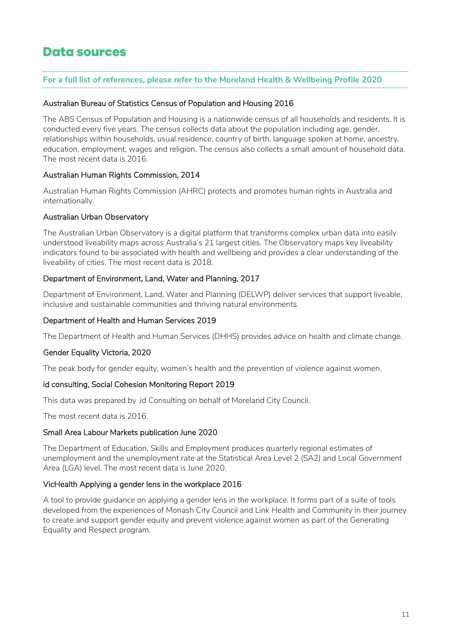# <span id="page-10-0"></span>**Data sources**

### **For a full list of references, please refer to the Moreland Health & Wellbeing Profile 2020**

#### Australian Bureau of Statistics Census of Population and Housing 2016

The ABS Census of Population and Housing is a nationwide census of all households and residents. It is conducted every five years. The census collects data about the population including age, gender, relationships within households, usual residence, country of birth, language spoken at home, ancestry, education, employment, wages and religion. The census also collects a small amount of household data. The most recent data is 2016.

### Australian Human Rights Commission, 2014

Australian Human Rights Commission (AHRC) protects and promotes human rights in Australia and internationally.

### Australian Urban Observatory

The Australian Urban Observatory is a digital platform that transforms complex urban data into easily understood liveability maps across Australia's 21 largest cities. The Observatory maps key liveability indicators found to be associated with health and wellbeing and provides a clear understanding of the liveability of cities. The most recent data is 2018.

### Department of Environment, Land, Water and Planning, 2017

Department of Environment, Land, Water and Planning (DELWP) deliver services that support liveable, inclusive and sustainable communities and thriving natural environments.

#### Department of Health and Human Services 2019

The Department of Health and Human Services (DHHS) provides advice on health and climate change.

#### Gender Equality Victoria, 2020

The peak body for gender equity, women's health and the prevention of violence against women.

#### id consulting, Social Cohesion Monitoring Report 2019

This data was prepared by .id Consulting on behalf of Moreland City Council.

The most recent data is 2016.

#### Small Area Labour Markets publication June 2020

The Department of Education, Skills and Employment produces quarterly regional estimates of unemployment and the unemployment rate at the Statistical Area Level 2 (SA2) and Local Government Area (LGA) level. The most recent data is June 2020.

#### VicHealth Applying a gender lens in the workplace 2016

A tool to provide guidance on applying a gender lens in the workplace. It forms part of a suite of tools developed from the experiences of Monash City Council and Link Health and Community in their journey to create and support gender equity and prevent violence against women as part of the Generating Equality and Respect program.